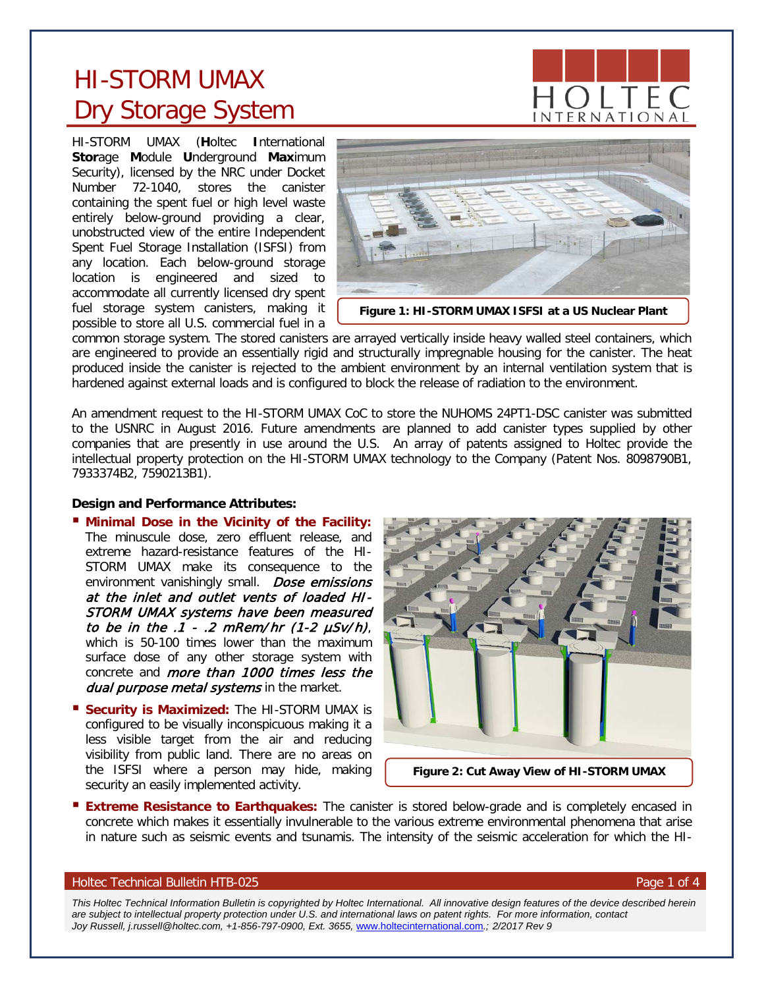# HI-STORM UMAX Dry Storage System

HI-STORM UMAX (**H**oltec **I**nternational **Stor**age **M**odule **U**nderground **Max**imum Security), licensed by the NRC under Docket Number 72-1040, stores the canister containing the spent fuel or high level waste entirely below-ground providing a clear, unobstructed view of the entire Independent Spent Fuel Storage Installation (ISFSI) from any location. Each below-ground storage location is engineered and sized to accommodate all currently licensed dry spent fuel storage system canisters, making it possible to store all U.S. commercial fuel in a



common storage system. The stored canisters are arrayed vertically inside heavy walled steel containers, which are engineered to provide an essentially rigid and structurally impregnable housing for the canister. The heat produced inside the canister is rejected to the ambient environment by an internal ventilation system that is hardened against external loads and is configured to block the release of radiation to the environment.

An amendment request to the HI-STORM UMAX CoC to store the NUHOMS 24PT1-DSC canister was submitted to the USNRC in August 2016. Future amendments are planned to add canister types supplied by other companies that are presently in use around the U.S. An array of patents assigned to Holtec provide the intellectual property protection on the HI-STORM UMAX technology to the Company (Patent Nos. 8098790B1, 7933374B2, 7590213B1).

## **Design and Performance Attributes:**

- **Minimal Dose in the Vicinity of the Facility:** The minuscule dose, zero effluent release, and extreme hazard-resistance features of the HI-STORM UMAX make its consequence to the environment vanishingly small. Dose emissions at the inlet and outlet vents of loaded HI-STORM UMAX systems have been measured to be in the  $.1$  -  $.2$  mRem/hr (1-2  $\mu$ Sv/h), which is 50-100 times lower than the maximum surface dose of any other storage system with concrete and more than 1000 times less the dual purpose metal systems in the market.
- **Security is Maximized:** The HI-STORM UMAX is configured to be visually inconspicuous making it a less visible target from the air and reducing visibility from public land. There are no areas on the ISFSI where a person may hide, making security an easily implemented activity.



**Extreme Resistance to Earthquakes:** The canister is stored below-grade and is completely encased in concrete which makes it essentially invulnerable to the various extreme environmental phenomena that arise in nature such as seismic events and tsunamis. The intensity of the seismic acceleration for which the HI-

## Holtec Technical Bulletin HTB-025 **Page 1 of 4** Page 1 of 4

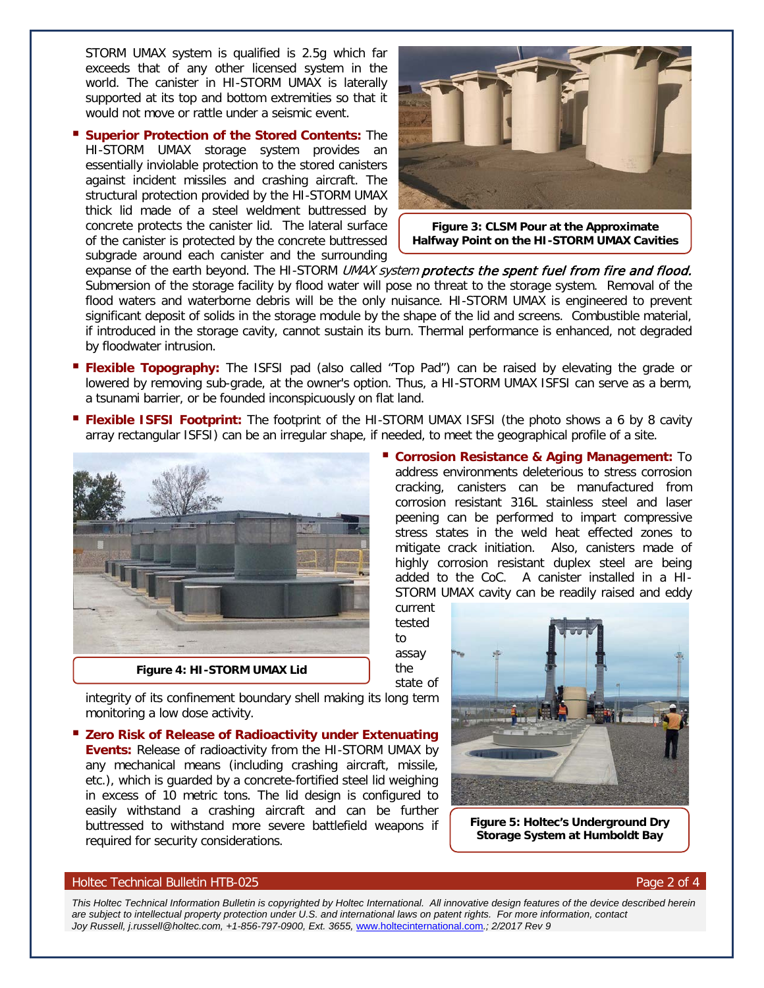STORM UMAX system is qualified is 2.5g which far exceeds that of any other licensed system in the world. The canister in HI-STORM UMAX is laterally supported at its top and bottom extremities so that it would not move or rattle under a seismic event.

 **Superior Protection of the Stored Contents:** The HI-STORM UMAX storage system provides an essentially inviolable protection to the stored canisters against incident missiles and crashing aircraft. The structural protection provided by the HI-STORM UMAX thick lid made of a steel weldment buttressed by concrete protects the canister lid. The lateral surface of the canister is protected by the concrete buttressed subgrade around each canister and the surrounding



**Figure 3: CLSM Pour at the Approximate Halfway Point on the HI-STORM UMAX Cavities**

address environments deleterious to stress corrosion cracking, canisters can be manufactured from corrosion resistant 316L stainless steel and laser peening can be performed to impart compressive stress states in the weld heat effected zones to mitigate crack initiation. Also, canisters made of highly corrosion resistant duplex steel are being added to the CoC. A canister installed in a HI-STORM UMAX cavity can be readily raised and eddy

expanse of the earth beyond. The HI-STORM UMAX system protects the spent fuel from fire and flood. Submersion of the storage facility by flood water will pose no threat to the storage system. Removal of the flood waters and waterborne debris will be the only nuisance. HI-STORM UMAX is engineered to prevent significant deposit of solids in the storage module by the shape of the lid and screens. Combustible material, if introduced in the storage cavity, cannot sustain its burn. Thermal performance is enhanced, not degraded by floodwater intrusion.

- **Flexible Topography:** The ISFSI pad (also called "Top Pad") can be raised by elevating the grade or lowered by removing sub-grade, at the owner's option. Thus, a HI-STORM UMAX ISFSI can serve as a berm, a tsunami barrier, or be founded inconspicuously on flat land.
- **Flexible ISFSI Footprint:** The footprint of the HI-STORM UMAX ISFSI (the photo shows a 6 by 8 cavity array rectangular ISFSI) can be an irregular shape, if needed, to meet the geographical profile of a site.



to assay the state of

current tested

integrity of its confinement boundary shell making its long term monitoring a low dose activity.

 **Zero Risk of Release of Radioactivity under Extenuating Events:** Release of radioactivity from the HI-STORM UMAX by any mechanical means (including crashing aircraft, missile, etc.), which is guarded by a concrete-fortified steel lid weighing in excess of 10 metric tons. The lid design is configured to easily withstand a crashing aircraft and can be further buttressed to withstand more severe battlefield weapons if required for security considerations.



**Figure 5: Holtec's Underground Dry Storage System at Humboldt Bay**

#### Holtec Technical Bulletin HTB-025 Page 2 of 4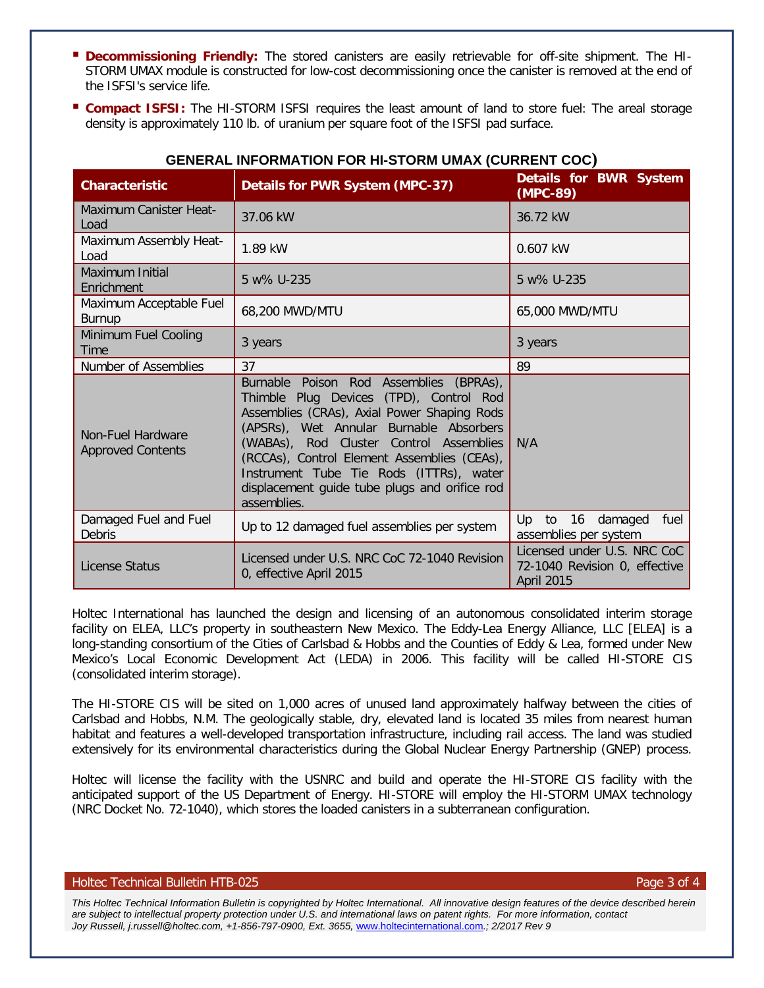- **Decommissioning Friendly:** The stored canisters are easily retrievable for off-site shipment. The HI-STORM UMAX module is constructed for low-cost decommissioning once the canister is removed at the end of the ISFSI's service life.
- **Compact ISFSI:** The HI-STORM ISFSI requires the least amount of land to store fuel: The areal storage density is approximately 110 lb. of uranium per square foot of the ISFSI pad surface.

| <b>Characteristic</b>                         | Details for PWR System (MPC-37)                                                                                                                                                                                                                                                                                                                                                   | Details for BWR System<br>(MPC-89)                                                |
|-----------------------------------------------|-----------------------------------------------------------------------------------------------------------------------------------------------------------------------------------------------------------------------------------------------------------------------------------------------------------------------------------------------------------------------------------|-----------------------------------------------------------------------------------|
| Maximum Canister Heat-<br>Load                | 37.06 kW                                                                                                                                                                                                                                                                                                                                                                          | 36.72 kW                                                                          |
| Maximum Assembly Heat-<br>Load                | 1.89 kW                                                                                                                                                                                                                                                                                                                                                                           | $0.607$ kW                                                                        |
| Maximum Initial<br>Enrichment                 | 5 w% U-235                                                                                                                                                                                                                                                                                                                                                                        | 5 w% U-235                                                                        |
| Maximum Acceptable Fuel<br>Burnup             | 68,200 MWD/MTU                                                                                                                                                                                                                                                                                                                                                                    | 65,000 MWD/MTU                                                                    |
| Minimum Fuel Cooling<br><b>Time</b>           | 3 years                                                                                                                                                                                                                                                                                                                                                                           | 3 years                                                                           |
| Number of Assemblies                          | 37                                                                                                                                                                                                                                                                                                                                                                                | 89                                                                                |
| Non-Fuel Hardware<br><b>Approved Contents</b> | Burnable Poison Rod Assemblies (BPRAs),<br>Thimble Plug Devices (TPD), Control Rod<br>Assemblies (CRAs), Axial Power Shaping Rods<br>(APSRs), Wet Annular Burnable Absorbers<br>(WABAs), Rod Cluster Control Assemblies<br>(RCCAs), Control Element Assemblies (CEAs),<br>Instrument Tube Tie Rods (ITTRs), water<br>displacement guide tube plugs and orifice rod<br>assemblies. | N/A                                                                               |
| Damaged Fuel and Fuel<br>Debris               | Up to 12 damaged fuel assemblies per system                                                                                                                                                                                                                                                                                                                                       | 16<br>Up to<br>damaged<br>fuel<br>assemblies per system                           |
| License Status                                | Licensed under U.S. NRC CoC 72-1040 Revision<br>0, effective April 2015                                                                                                                                                                                                                                                                                                           | Licensed under U.S. NRC CoC<br>72-1040 Revision 0, effective<br><b>April 2015</b> |

# **GENERAL INFORMATION FOR HI-STORM UMAX (CURRENT COC)**

Holtec International has launched the design and licensing of an autonomous consolidated interim storage facility on ELEA, LLC's property in southeastern New Mexico. The Eddy-Lea Energy Alliance, LLC [ELEA] is a long-standing consortium of the Cities of Carlsbad & Hobbs and the Counties of Eddy & Lea, formed under New Mexico's Local Economic Development Act (LEDA) in 2006. This facility will be called HI-STORE CIS (consolidated interim storage).

The HI-STORE CIS will be sited on 1,000 acres of unused land approximately halfway between the cities of Carlsbad and Hobbs, N.M. The geologically stable, dry, elevated land is located 35 miles from nearest human habitat and features a well-developed transportation infrastructure, including rail access. The land was studied extensively for its environmental characteristics during the Global Nuclear Energy Partnership (GNEP) process.

Holtec will license the facility with the USNRC and build and operate the HI-STORE CIS facility with the anticipated support of the US Department of Energy. HI-STORE will employ the HI-STORM UMAX technology (NRC Docket No. 72-1040), which stores the loaded canisters in a subterranean configuration.

## Holtec Technical Bulletin HTB-025 **Page 3 of 4** Page 3 of 4